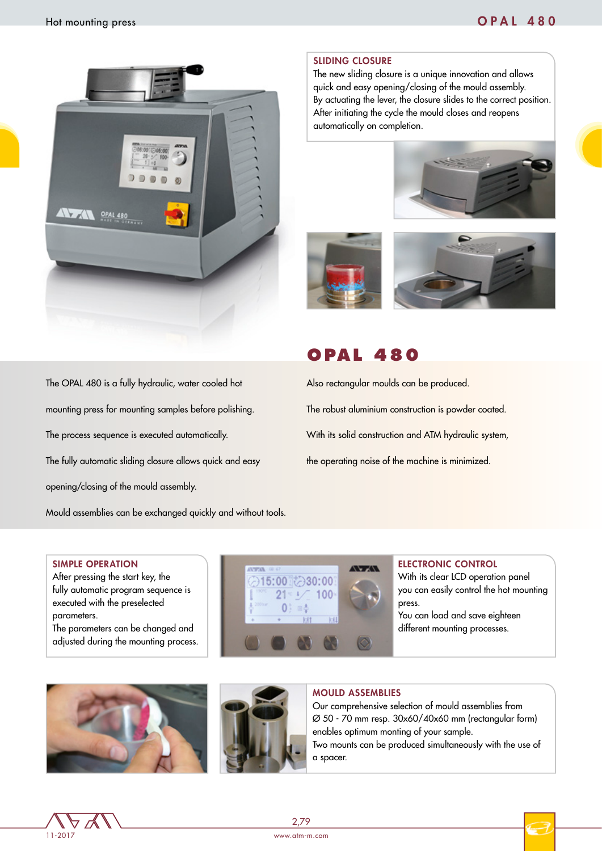

#### SLIDING CLOSURE

The new sliding closure is a unique innovation and allows quick and easy opening/closing of the mould assembly. By actuating the lever, the closure slides to the correct position. After initiating the cycle the mould closes and reopens automatically on completion.







# **OPAL 480**

Also rectangular moulds can be produced. The robust aluminium construction is powder coated. With its solid construction and ATM hydraulic system, the operating noise of the machine is minimized.

The OPAL 480 is a fully hydraulic, water cooled hot mounting press for mounting samples before polishing. The process sequence is executed automatically. The fully automatic sliding closure allows quick and easy opening/closing of the mould assembly.

Mould assemblies can be exchanged quickly and without tools.

#### SIMPLE OPERATION

After pressing the start key, the fully automatic program sequence is executed with the preselected parameters.

The parameters can be changed and adjusted during the mounting process.



#### ELECTRONIC CONTROL

With its clear LCD operation panel you can easily control the hot mounting press.

You can load and save eighteen different mounting processes.





### MOULD ASSEMBLIES

Our comprehensive selection of mould assemblies from Ø 50 - 70 mm resp. 30x60/40x60 mm (rectangular form) enables optimum monting of your sample. Two mounts can be produced simultaneously with the use of a spacer.



2,79

www.atm-m.com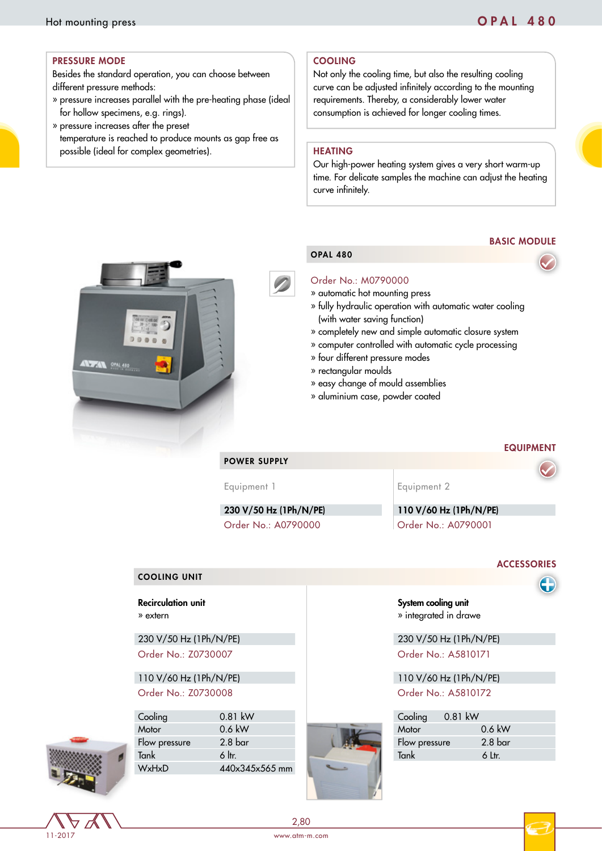#### PRESSURE MODE

Besides the standard operation, you can choose between different pressure methods:

- » pressure increases parallel with the pre-heating phase (ideal for hollow specimens, e.g. rings).
- » pressure increases after the preset temperature is reached to produce mounts as gap free as possible (ideal for complex geometries).

### COOLING

Not only the cooling time, but also the resulting cooling curve can be adjusted infinitely according to the mounting requirements. Thereby, a considerably lower water consumption is achieved for longer cooling times.

### HEATING

OPAL 480

Our high-power heating system gives a very short warm-up time. For delicate samples the machine can adjust the heating curve infinitely.

# BASIC MODULE





#### Order No.: M0790000

» automatic hot mounting press

- » fully hydraulic operation with automatic water cooling (with water saving function)
- » completely new and simple automatic closure system
- » computer controlled with automatic cycle processing
- » four different pressure modes
- » rectangular moulds
- » easy change of mould assemblies
- » aluminium case, powder coated

#### EQUIPMENT

POWER SUPPLY

230 V/50 Hz (1Ph/N/PE) 110 V/60 Hz (1Ph/N/PE)

Equipment 1 and Equipment 2

System cooling unit » integrated in drawe

Order No.: A0790000 Order No.: A0790001

#### **ACCESSORIES**

#### COOLING UNIT

#### Recirculation unit » extern

230 V/50 Hz (1Ph/N/PE) 230 V/50 Hz (1Ph/N/PE)

Order No.: Z0730007 Order No.: A5810171

# 110 V/60 Hz (1Ph/N/PE) 110 V/60 Hz (1Ph/N/PE) Order No.: Z0730008 Order No.: A5810172



11-2017

Cooling 0.81 kW Cooling 0.81 kW Motor 0.6 kW Motor 0.6 kW Flow pressure 2.8 bar Flow pressure 1.8 bar Flow pressure 1.8 bar Flow pressure 1.1 and 1.1 and 1.1 and 1.1 and 1.1 and 1.1 and 1.1 and 1.1 and 1.1 and 1.1 and 1.1 and 1.1 and 1.1 and 1.1 and 1.1 and 1.1 and 1.1 and 1.1 an Tank 6 ltr. Tank 6 Ltr. WxHxD 440x345x565 mm



| ooling       | $0.81$ kW |                    |  |
|--------------|-----------|--------------------|--|
| <b>^otor</b> |           | $0.6$ kW           |  |
| low pressure |           | 2.8 <sub>bar</sub> |  |
| ank          |           | 6 Ltr.             |  |